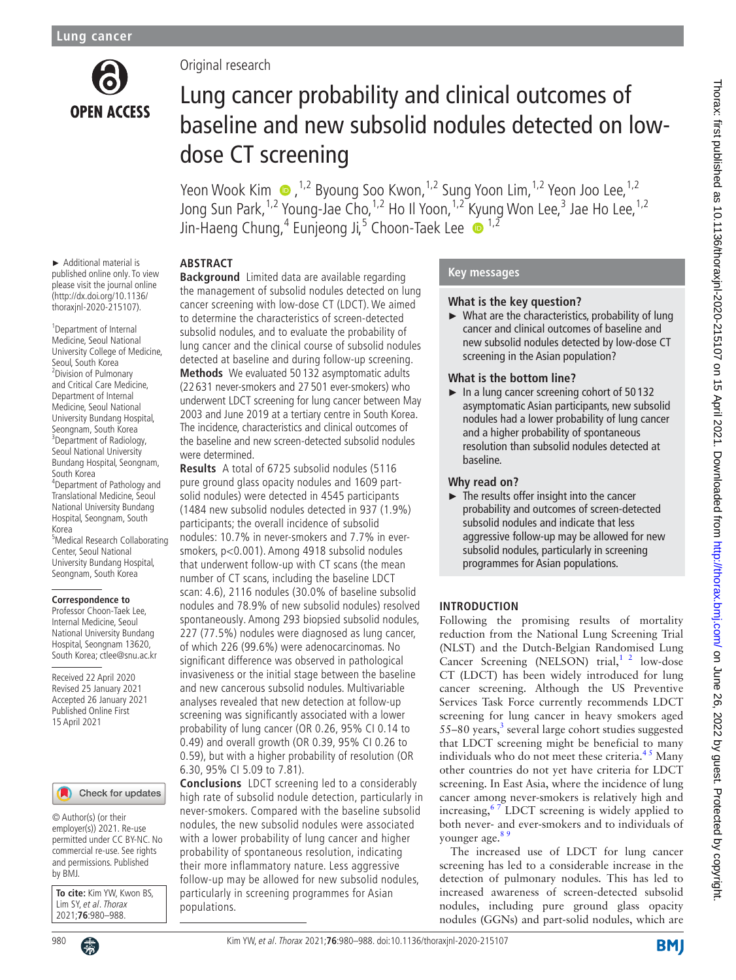

# Original research

# Lung cancer probability and clinical outcomes of baseline and new subsolid nodules detected on lowdose CT screening

Yeon Wook Kim  $\bullet$ , <sup>1,2</sup> Byoung Soo Kwon, <sup>1,2</sup> Sung Yoon Lim, <sup>1,2</sup> Yeon Joo Lee, <sup>1,2</sup> Jong Sun Park,<sup>1,2</sup> Young-Jae Cho,<sup>1,2</sup> Ho Il Yoon,<sup>1,2</sup> Kyung Won Lee,<sup>3</sup> Jae Ho Lee,<sup>1,2</sup> Jin-Haeng Chung, $^4$  Eunjeong Ji, $^5$  Choon-Taek Lee  $\,\bullet\,{}^{1,2}\,$ 

► Additional material is published online only. To view please visit the journal online (http://dx.doi.org/10.1136/ thoraxjnl-2020-215107).

<sup>1</sup>Department of Internal Medicine, Seoul National University College of Medicine, Seoul, South Korea 2 Division of Pulmonary and Critical Care Medicine, Department of Internal Medicine, Seoul National University Bundang Hospital, Seongnam, South Korea <sup>3</sup>Department of Radiology, Seoul National University Bundang Hospital, Seongnam, South Korea 4 Department of Pathology and Translational Medicine, Seoul National University Bundang Hospital, Seongnam, South Korea

5 Medical Research Collaborating Center, Seoul National University Bundang Hospital, Seongnam, South Korea

#### **Correspondence to**

Professor Choon-Taek Lee, Internal Medicine, Seoul National University Bundang Hospital, Seongnam 13620, South Korea; ctlee@snu.ac.kr

Received 22 April 2020 Revised 25 January 2021 Accepted 26 January 2021 Published Online First 15 April 2021

#### Check for updates

© Author(s) (or their employer(s)) 2021. Re-use permitted under CC BY-NC. No commercial re-use. See rights and permissions. Published by BMJ.

**To cite:** Kim YW, Kwon BS, Lim SY, et al. Thorax 2021;**76**:980–988.



# **ABSTRACT**

**Background** Limited data are available regarding the management of subsolid nodules detected on lung cancer screening with low-dose CT (LDCT). We aimed to determine the characteristics of screen-detected subsolid nodules, and to evaluate the probability of lung cancer and the clinical course of subsolid nodules detected at baseline and during follow-up screening. **Methods** We evaluated 50 132 asymptomatic adults (22 631 never-smokers and 27 501 ever-smokers) who underwent LDCT screening for lung cancer between May 2003 and June 2019 at a tertiary centre in South Korea. The incidence, characteristics and clinical outcomes of the baseline and new screen-detected subsolid nodules were determined.

**Results** A total of 6725 subsolid nodules (5116 pure ground glass opacity nodules and 1609 partsolid nodules) were detected in 4545 participants (1484 new subsolid nodules detected in 937 (1.9%) participants; the overall incidence of subsolid nodules: 10.7% in never-smokers and 7.7% in eversmokers, p<0.001). Among 4918 subsolid nodules that underwent follow-up with CT scans (the mean number of CT scans, including the baseline LDCT scan: 4.6), 2116 nodules (30.0% of baseline subsolid nodules and 78.9% of new subsolid nodules) resolved spontaneously. Among 293 biopsied subsolid nodules, 227 (77.5%) nodules were diagnosed as lung cancer, of which 226 (99.6%) were adenocarcinomas. No significant difference was observed in pathological invasiveness or the initial stage between the baseline and new cancerous subsolid nodules. Multivariable analyses revealed that new detection at follow-up screening was significantly associated with a lower probability of lung cancer (OR 0.26, 95% CI 0.14 to 0.49) and overall growth (OR 0.39, 95% CI 0.26 to 0.59), but with a higher probability of resolution (OR 6.30, 95% CI 5.09 to 7.81).

**Conclusions** LDCT screening led to a considerably high rate of subsolid nodule detection, particularly in never-smokers. Compared with the baseline subsolid nodules, the new subsolid nodules were associated with a lower probability of lung cancer and higher probability of spontaneous resolution, indicating their more inflammatory nature. Less aggressive follow-up may be allowed for new subsolid nodules, particularly in screening programmes for Asian populations.

# **Key messages**

#### **What is the key question?**

 $\blacktriangleright$  What are the characteristics, probability of lung cancer and clinical outcomes of baseline and new subsolid nodules detected by low-dose CT screening in the Asian population?

## **What is the bottom line?**

► In a lung cancer screening cohort of 50 132 asymptomatic Asian participants, new subsolid nodules had a lower probability of lung cancer and a higher probability of spontaneous resolution than subsolid nodules detected at baseline.

# **Why read on?**

 $\blacktriangleright$  The results offer insight into the cancer probability and outcomes of screen-detected subsolid nodules and indicate that less aggressive follow-up may be allowed for new subsolid nodules, particularly in screening programmes for Asian populations.

# **INTRODUCTION**

Following the promising results of mortality reduction from the National Lung Screening Trial (NLST) and the Dutch-Belgian Randomised Lung Cancer Screening (NELSON) trial, $1^2$  low-dose CT (LDCT) has been widely introduced for lung cancer screening. Although the US Preventive Services Task Force currently recommends LDCT screening for lung cancer in heavy smokers aged 55-80 years,<sup>[3](#page-7-1)</sup> several large cohort studies suggested that LDCT screening might be beneficial to many individuals who do not meet these criteria. $4<sup>5</sup>$  Many other countries do not yet have criteria for LDCT screening. In East Asia, where the incidence of lung cancer among never-smokers is relatively high and increasing, $67$  LDCT screening is widely applied to both never- and ever-smokers and to individuals of younger age.<sup>8</sup>

The increased use of LDCT for lung cancer screening has led to a considerable increase in the detection of pulmonary nodules. This has led to increased awareness of screen-detected subsolid nodules, including pure ground glass opacity nodules (GGNs) and part-solid nodules, which are

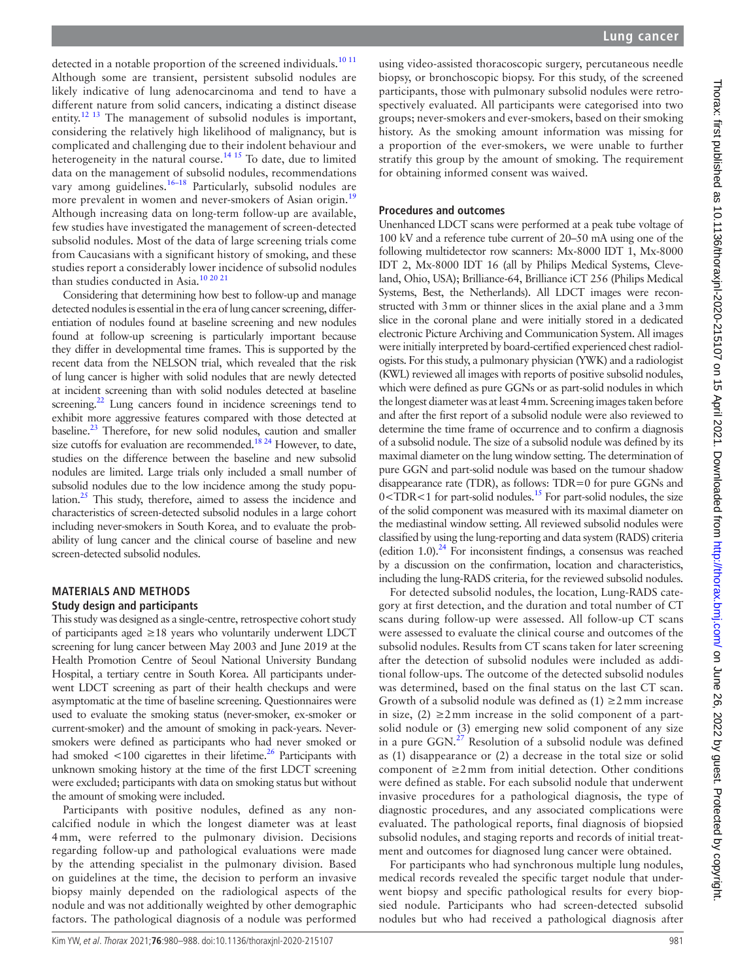detected in a notable proportion of the screened individuals.<sup>[10 11](#page-7-5)</sup> Although some are transient, persistent subsolid nodules are likely indicative of lung adenocarcinoma and tend to have a different nature from solid cancers, indicating a distinct disease entity.<sup>[12 13](#page-7-6)</sup> The management of subsolid nodules is important, considering the relatively high likelihood of malignancy, but is complicated and challenging due to their indolent behaviour and heterogeneity in the natural course.<sup>14 15</sup> To date, due to limited data on the management of subsolid nodules, recommendations vary among guidelines.<sup>[16–18](#page-7-8)</sup> Particularly, subsolid nodules are more prevalent in women and never-smokers of Asian origin.<sup>[19](#page-8-0)</sup> Although increasing data on long-term follow-up are available, few studies have investigated the management of screen-detected subsolid nodules. Most of the data of large screening trials come from Caucasians with a significant history of smoking, and these studies report a considerably lower incidence of subsolid nodules than studies conducted in Asia[.10 20 21](#page-7-5)

Considering that determining how best to follow-up and manage detected nodules is essential in the era of lung cancer screening, differentiation of nodules found at baseline screening and new nodules found at follow-up screening is particularly important because they differ in developmental time frames. This is supported by the recent data from the NELSON trial, which revealed that the risk of lung cancer is higher with solid nodules that are newly detected at incident screening than with solid nodules detected at baseline screening.<sup>22</sup> Lung cancers found in incidence screenings tend to exhibit more aggressive features compared with those detected at baseline[.23](#page-8-2) Therefore, for new solid nodules, caution and smaller size cutoffs for evaluation are recommended.<sup>18 24</sup> However, to date, studies on the difference between the baseline and new subsolid nodules are limited. Large trials only included a small number of subsolid nodules due to the low incidence among the study population. $^{25}$  This study, therefore, aimed to assess the incidence and characteristics of screen-detected subsolid nodules in a large cohort including never-smokers in South Korea, and to evaluate the probability of lung cancer and the clinical course of baseline and new screen-detected subsolid nodules.

#### **MATERIALS AND METHODS Study design and participants**

This study was designed as a single-centre, retrospective cohort study of participants aged ≥18 years who voluntarily underwent LDCT screening for lung cancer between May 2003 and June 2019 at the Health Promotion Centre of Seoul National University Bundang Hospital, a tertiary centre in South Korea. All participants underwent LDCT screening as part of their health checkups and were asymptomatic at the time of baseline screening. Questionnaires were used to evaluate the smoking status (never-smoker, ex-smoker or current-smoker) and the amount of smoking in pack-years. Neversmokers were defined as participants who had never smoked or had smoked  $\langle 100 \rangle$  cigarettes in their lifetime.<sup>26</sup> Participants with unknown smoking history at the time of the first LDCT screening were excluded; participants with data on smoking status but without the amount of smoking were included.

Participants with positive nodules, defined as any noncalcified nodule in which the longest diameter was at least 4mm, were referred to the pulmonary division. Decisions regarding follow-up and pathological evaluations were made by the attending specialist in the pulmonary division. Based on guidelines at the time, the decision to perform an invasive biopsy mainly depended on the radiological aspects of the nodule and was not additionally weighted by other demographic factors. The pathological diagnosis of a nodule was performed

using video-assisted thoracoscopic surgery, percutaneous needle biopsy, or bronchoscopic biopsy. For this study, of the screened participants, those with pulmonary subsolid nodules were retrospectively evaluated. All participants were categorised into two groups; never-smokers and ever-smokers, based on their smoking history. As the smoking amount information was missing for a proportion of the ever-smokers, we were unable to further stratify this group by the amount of smoking. The requirement for obtaining informed consent was waived.

#### **Procedures and outcomes**

Unenhanced LDCT scans were performed at a peak tube voltage of 100 kV and a reference tube current of 20–50 mA using one of the following multidetector row scanners: Mx-8000 IDT 1, Mx-8000 IDT 2, Mx-8000 IDT 16 (all by Philips Medical Systems, Cleveland, Ohio, USA); Brilliance-64, Brilliance iCT 256 (Philips Medical Systems, Best, the Netherlands). All LDCT images were reconstructed with 3mm or thinner slices in the axial plane and a 3mm slice in the coronal plane and were initially stored in a dedicated electronic Picture Archiving and Communication System. All images were initially interpreted by board-certified experienced chest radiologists. For this study, a pulmonary physician (YWK) and a radiologist (KWL) reviewed all images with reports of positive subsolid nodules, which were defined as pure GGNs or as part-solid nodules in which the longest diameter was at least 4mm. Screening images taken before and after the first report of a subsolid nodule were also reviewed to determine the time frame of occurrence and to confirm a diagnosis of a subsolid nodule. The size of a subsolid nodule was defined by its maximal diameter on the lung window setting. The determination of pure GGN and part-solid nodule was based on the tumour shadow disappearance rate (TDR), as follows: TDR=0 for pure GGNs and  $0 < TDR < 1$  for part-solid nodules.<sup>15</sup> For part-solid nodules, the size of the solid component was measured with its maximal diameter on the mediastinal window setting. All reviewed subsolid nodules were classified by using the lung-reporting and data system (RADS) criteria (edition 1.0). $^{24}$  For inconsistent findings, a consensus was reached by a discussion on the confirmation, location and characteristics, including the lung-RADS criteria, for the reviewed subsolid nodules.

For detected subsolid nodules, the location, Lung-RADS category at first detection, and the duration and total number of CT scans during follow-up were assessed. All follow-up CT scans were assessed to evaluate the clinical course and outcomes of the subsolid nodules. Results from CT scans taken for later screening after the detection of subsolid nodules were included as additional follow-ups. The outcome of the detected subsolid nodules was determined, based on the final status on the last CT scan. Growth of a subsolid nodule was defined as  $(1) \ge 2$  mm increase in size,  $(2)$  ≥2 mm increase in the solid component of a partsolid nodule or (3) emerging new solid component of any size in a pure GGN.<sup>27</sup> Resolution of a subsolid nodule was defined as (1) disappearance or (2) a decrease in the total size or solid component of  $\geq$ 2mm from initial detection. Other conditions were defined as stable. For each subsolid nodule that underwent invasive procedures for a pathological diagnosis, the type of diagnostic procedures, and any associated complications were evaluated. The pathological reports, final diagnosis of biopsied subsolid nodules, and staging reports and records of initial treatment and outcomes for diagnosed lung cancer were obtained.

For participants who had synchronous multiple lung nodules, medical records revealed the specific target nodule that underwent biopsy and specific pathological results for every biopsied nodule. Participants who had screen-detected subsolid nodules but who had received a pathological diagnosis after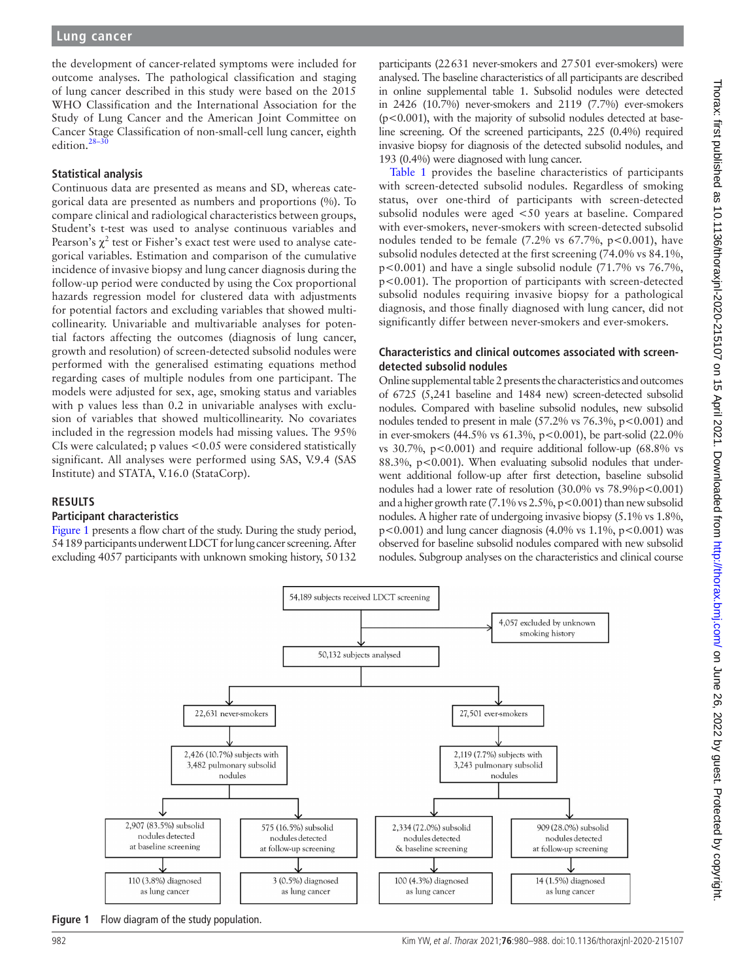the development of cancer-related symptoms were included for outcome analyses. The pathological classification and staging of lung cancer described in this study were based on the 2015 WHO Classification and the International Association for the Study of Lung Cancer and the American Joint Committee on Cancer Stage Classification of non-small-cell lung cancer, eighth edition.<sup>28-</sup>

#### **Statistical analysis**

Continuous data are presented as means and SD, whereas categorical data are presented as numbers and proportions (%). To compare clinical and radiological characteristics between groups, Student's t-test was used to analyse continuous variables and Pearson's  $\chi^2$  test or Fisher's exact test were used to analyse categorical variables. Estimation and comparison of the cumulative incidence of invasive biopsy and lung cancer diagnosis during the follow-up period were conducted by using the Cox proportional hazards regression model for clustered data with adjustments for potential factors and excluding variables that showed multicollinearity. Univariable and multivariable analyses for potential factors affecting the outcomes (diagnosis of lung cancer, growth and resolution) of screen-detected subsolid nodules were performed with the generalised estimating equations method regarding cases of multiple nodules from one participant. The models were adjusted for sex, age, smoking status and variables with p values less than 0.2 in univariable analyses with exclusion of variables that showed multicollinearity. No covariates included in the regression models had missing values. The 95% CIs were calculated; p values <0.05 were considered statistically significant. All analyses were performed using SAS, V.9.4 (SAS Institute) and STATA, V.16.0 (StataCorp).

#### **RESULTS**

#### **Participant characteristics**

[Figure](#page-2-0) 1 presents a flow chart of the study. During the study period, 54189 participants underwent LDCT for lung cancer screening. After excluding 4057 participants with unknown smoking history, 50132

participants (22631 never-smokers and 27501 ever-smokers) were analysed. The baseline characteristics of all participants are described in [online supplemental table 1](https://dx.doi.org/10.1136/thoraxjnl-2020-215107). Subsolid nodules were detected in 2426 (10.7%) never-smokers and 2119 (7.7%) ever-smokers (p<0.001), with the majority of subsolid nodules detected at baseline screening. Of the screened participants, 225 (0.4%) required invasive biopsy for diagnosis of the detected subsolid nodules, and 193 (0.4%) were diagnosed with lung cancer.

[Table](#page-3-0) 1 provides the baseline characteristics of participants with screen-detected subsolid nodules. Regardless of smoking status, over one-third of participants with screen-detected subsolid nodules were aged <50 years at baseline. Compared with ever-smokers, never-smokers with screen-detected subsolid nodules tended to be female  $(7.2\% \text{ vs } 67.7\%, \text{ p} < 0.001)$ , have subsolid nodules detected at the first screening (74.0% vs 84.1%,  $p<0.001$ ) and have a single subsolid nodule (71.7% vs 76.7%, p<0.001). The proportion of participants with screen-detected subsolid nodules requiring invasive biopsy for a pathological diagnosis, and those finally diagnosed with lung cancer, did not significantly differ between never-smokers and ever-smokers.

#### **Characteristics and clinical outcomes associated with screendetected subsolid nodules**

[Online supplemental table 2](https://dx.doi.org/10.1136/thoraxjnl-2020-215107) presents the characteristics and outcomes of 6725 (5,241 baseline and 1484 new) screen-detected subsolid nodules. Compared with baseline subsolid nodules, new subsolid nodules tended to present in male  $(57.2\% \text{ vs } 76.3\% \text{, } p < 0.001)$  and in ever-smokers (44.5% vs 61.3%, p<0.001), be part-solid (22.0% vs  $30.7\%$ ,  $p < 0.001$ ) and require additional follow-up (68.8% vs 88.3%, p<0.001). When evaluating subsolid nodules that underwent additional follow-up after first detection, baseline subsolid nodules had a lower rate of resolution (30.0% vs 78.9%p<0.001) and a higher growth rate  $(7.1\% \text{ vs } 2.5\%, \text{p} < 0.001)$  than new subsolid nodules. A higher rate of undergoing invasive biopsy (5.1% vs 1.8%,  $p < 0.001$ ) and lung cancer diagnosis (4.0% vs 1.1%,  $p < 0.001$ ) was observed for baseline subsolid nodules compared with new subsolid nodules. Subgroup analyses on the characteristics and clinical course



<span id="page-2-0"></span>**Figure 1** Flow diagram of the study population.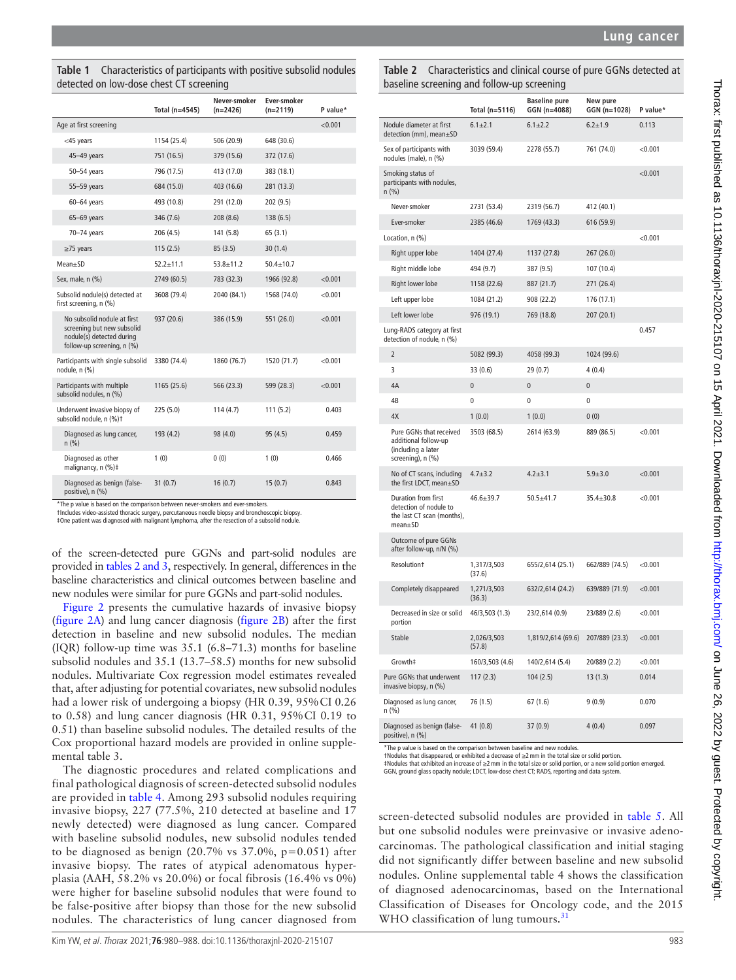<span id="page-3-0"></span>**Table 1** Characteristics of participants with positive subsolid nodules detected on low-dose chest CT screening

|                                                                                                                      | Total ( $n=4545$ ) | Never-smoker<br>$(n=2426)$ | Ever-smoker<br>$(n=2119)$ | P value* |
|----------------------------------------------------------------------------------------------------------------------|--------------------|----------------------------|---------------------------|----------|
| Age at first screening                                                                                               |                    |                            |                           | < 0.001  |
| <45 years                                                                                                            | 1154 (25.4)        | 506 (20.9)                 | 648 (30.6)                |          |
| 45-49 years                                                                                                          | 751 (16.5)         | 379 (15.6)                 | 372 (17.6)                |          |
| 50-54 years                                                                                                          | 796 (17.5)         | 413 (17.0)                 | 383 (18.1)                |          |
| 55-59 years                                                                                                          | 684 (15.0)         | 403 (16.6)                 | 281 (13.3)                |          |
| $60 - 64$ years                                                                                                      | 493 (10.8)         | 291 (12.0)                 | 202 (9.5)                 |          |
| 65-69 years                                                                                                          | 346 (7.6)          | 208 (8.6)                  | 138 (6.5)                 |          |
| 70-74 years                                                                                                          | 206 (4.5)          | 141 (5.8)                  | 65(3.1)                   |          |
| $\geq$ 75 years                                                                                                      | 115(2.5)           | 85(3.5)                    | 30(1.4)                   |          |
| Mean+SD                                                                                                              | $52.2 \pm 11.1$    | $53.8 + 11.2$              | $50.4 \pm 10.7$           |          |
| Sex, male, n (%)                                                                                                     | 2749 (60.5)        | 783 (32.3)                 | 1966 (92.8)               | < 0.001  |
| Subsolid nodule(s) detected at<br>first screening, n (%)                                                             | 3608 (79.4)        | 2040 (84.1)                | 1568 (74.0)               | < 0.001  |
| No subsolid nodule at first<br>screening but new subsolid<br>nodule(s) detected during<br>follow-up screening, n (%) | 937 (20.6)         | 386 (15.9)                 | 551 (26.0)                | < 0.001  |
| Participants with single subsolid<br>nodule, n (%)                                                                   | 3380 (74.4)        | 1860 (76.7)                | 1520 (71.7)               | < 0.001  |
| Participants with multiple<br>subsolid nodules. n (%)                                                                | 1165 (25.6)        | 566 (23.3)                 | 599 (28.3)                | < 0.001  |
| Underwent invasive biopsy of<br>subsolid nodule, n (%)t                                                              | 225 (5.0)          | 114(4.7)                   | 111(5.2)                  | 0.403    |
| Diagnosed as lung cancer,<br>n(% )                                                                                   | 193 (4.2)          | 98 (4.0)                   | 95 (4.5)                  | 0.459    |
| Diagnosed as other<br>malignancy, n (%)‡                                                                             | 1(0)               | 0(0)                       | 1(0)                      | 0.466    |
| Diagnosed as benign (false-<br>positive), n (%)                                                                      | 31(0.7)            | 16(0.7)                    | 15(0.7)                   | 0.843    |

\*The p value is based on the comparison between never-smokers and ever-smokers.

†Includes video-assisted thoracic surgery, percutaneous needle biopsy and bronchoscopic biopsy.

‡One patient was diagnosed with malignant lymphoma, after the resection of a subsolid nodule.

of the screen-detected pure GGNs and part-solid nodules are provided in tables [2 and 3,](#page-3-1) respectively. In general, differences in the baseline characteristics and clinical outcomes between baseline and new nodules were similar for pure GGNs and part-solid nodules.

[Figure](#page-4-0) 2 presents the cumulative hazards of invasive biopsy ([figure](#page-4-0) 2A) and lung cancer diagnosis ([figure](#page-4-0) 2B) after the first detection in baseline and new subsolid nodules. The median (IQR) follow-up time was 35.1 (6.8–71.3) months for baseline subsolid nodules and 35.1 (13.7–58.5) months for new subsolid nodules. Multivariate Cox regression model estimates revealed that, after adjusting for potential covariates, new subsolid nodules had a lower risk of undergoing a biopsy (HR 0.39, 95%CI 0.26 to 0.58) and lung cancer diagnosis (HR 0.31, 95%CI 0.19 to 0.51) than baseline subsolid nodules. The detailed results of the Cox proportional hazard models are provided in [online supple](https://dx.doi.org/10.1136/thoraxjnl-2020-215107)[mental table 3.](https://dx.doi.org/10.1136/thoraxjnl-2020-215107)

The diagnostic procedures and related complications and final pathological diagnosis of screen-detected subsolid nodules are provided in [table](#page-5-0) 4. Among 293 subsolid nodules requiring invasive biopsy, 227 (77.5%, 210 detected at baseline and 17 newly detected) were diagnosed as lung cancer. Compared with baseline subsolid nodules, new subsolid nodules tended to be diagnosed as benign  $(20.7\% \text{ vs } 37.0\%, \text{ p}=0.051)$  after invasive biopsy. The rates of atypical adenomatous hyperplasia (AAH, 58.2% vs 20.0%) or focal fibrosis (16.4% vs 0%) were higher for baseline subsolid nodules that were found to be false-positive after biopsy than those for the new subsolid nodules. The characteristics of lung cancer diagnosed from

<span id="page-3-1"></span>**Table 2** Characteristics and clinical course of pure GGNs detected at baseline screening and follow-up screening

|                                                                                                     | Total (n=5116)        | <b>Baseline pure</b><br>GGN (n=4088) | New pure<br>GGN (n=1028) | P value* |
|-----------------------------------------------------------------------------------------------------|-----------------------|--------------------------------------|--------------------------|----------|
| Nodule diameter at first<br>detection (mm), mean±SD                                                 | $6.1 \pm 2.1$         | $6.1 \pm 2.2$                        | $6.2 \pm 1.9$            | 0.113    |
| Sex of participants with<br>nodules (male), n (%)                                                   | 3039 (59.4)           | 2278 (55.7)                          | 761 (74.0)               | < 0.001  |
| Smoking status of<br>participants with nodules,<br>$n$ (%)                                          |                       |                                      |                          | < 0.001  |
| Never-smoker                                                                                        | 2731 (53.4)           | 2319 (56.7)                          | 412 (40.1)               |          |
| Ever-smoker                                                                                         | 2385 (46.6)           | 1769 (43.3)                          | 616 (59.9)               |          |
| Location, n (%)                                                                                     |                       |                                      |                          | < 0.001  |
| Right upper lobe                                                                                    | 1404 (27.4)           | 1137 (27.8)                          | 267 (26.0)               |          |
| Right middle lobe                                                                                   | 494 (9.7)             | 387 (9.5)                            | 107 (10.4)               |          |
| Right lower lobe                                                                                    | 1158 (22.6)           | 887 (21.7)                           | 271 (26.4)               |          |
| Left upper lobe                                                                                     | 1084 (21.2)           | 908 (22.2)                           | 176 (17.1)               |          |
| Left lower lobe                                                                                     | 976 (19.1)            | 769 (18.8)                           | 207 (20.1)               |          |
| Lung-RADS category at first<br>detection of nodule, n (%)                                           |                       |                                      |                          | 0.457    |
| 2                                                                                                   | 5082 (99.3)           | 4058 (99.3)                          | 1024 (99.6)              |          |
| 3                                                                                                   | 33 (0.6)              | 29 (0.7)                             | 4(0.4)                   |          |
| 4A                                                                                                  | $\overline{0}$        | $\overline{0}$                       | $\overline{0}$           |          |
| 4B                                                                                                  | $\mathbf{0}$          | $\mathbf{0}$                         | $\Omega$                 |          |
| 4X                                                                                                  | 1(0.0)                | 1(0.0)                               | 0(0)                     |          |
| Pure GGNs that received<br>additional follow-up<br>(including a later<br>screening), n (%)          | 3503 (68.5)           | 2614 (63.9)                          | 889 (86.5)               | < 0.001  |
| No of CT scans, including<br>the first LDCT, mean±SD                                                | $4.7 + 3.2$           | $4.2 + 3.1$                          | $5.9 + 3.0$              | < 0.001  |
| Duration from first<br>detection of nodule to<br>the last CT scan (months),<br>mean <sub>±</sub> SD | $46.6 \pm 39.7$       | $50.5 + 41.7$                        | $35.4 \pm 30.8$          | < 0.001  |
| Outcome of pure GGNs<br>after follow-up, n/N (%)                                                    |                       |                                      |                          |          |
| Resolution <sup>+</sup>                                                                             | 1,317/3,503<br>(37.6) | 655/2,614 (25.1)                     | 662/889 (74.5)           | < 0.001  |
| Completely disappeared                                                                              | 1,271/3,503<br>(36.3) | 632/2,614 (24.2)                     | 639/889 (71.9)           | < 0.001  |
| Decreased in size or solid<br>portion                                                               | 46/3,503 (1.3)        | 23/2,614 (0.9)                       | 23/889 (2.6)             | < 0.001  |
| Stable                                                                                              | 2,026/3,503<br>(57.8) | 1,819/2,614 (69.6)                   | 207/889 (23.3)           | < 0.001  |
| Growth‡                                                                                             | 160/3,503 (4.6)       | 140/2,614 (5.4)                      | 20/889 (2.2)             | < 0.001  |
| Pure GGNs that underwent<br>invasive biopsy, n (%)                                                  | 117(2.3)              | 104(2.5)                             | 13(1.3)                  | 0.014    |
| Diagnosed as lung cancer,<br>n (%)                                                                  | 76 (1.5)              | 67 (1.6)                             | 9(0.9)                   | 0.070    |
| Diagnosed as benign (false-<br>positive), n (%)                                                     | 41 (0.8)              | 37(0.9)                              | 4(0.4)                   | 0.097    |

\*The p value is based on the comparison between baseline and new nodules.

†Nodules that disappeared, or exhibited a decrease of ≥2mm in the total size or solid portion.

‡Nodules that exhibited an increase of ≥2mm in the total size or solid portion, or a new solid portion emerged. GGN, ground glass opacity nodule; LDCT, low-dose chest CT; RADS, reporting and data system.

screen-detected subsolid nodules are provided in [table](#page-5-1) 5. All but one subsolid nodules were preinvasive or invasive adenocarcinomas. The pathological classification and initial staging did not significantly differ between baseline and new subsolid nodules. [Online supplemental table 4](https://dx.doi.org/10.1136/thoraxjnl-2020-215107) shows the classification of diagnosed adenocarcinomas, based on the International Classification of Diseases for Oncology code, and the 2015 WHO classification of lung tumours.<sup>[31](#page-8-9)</sup>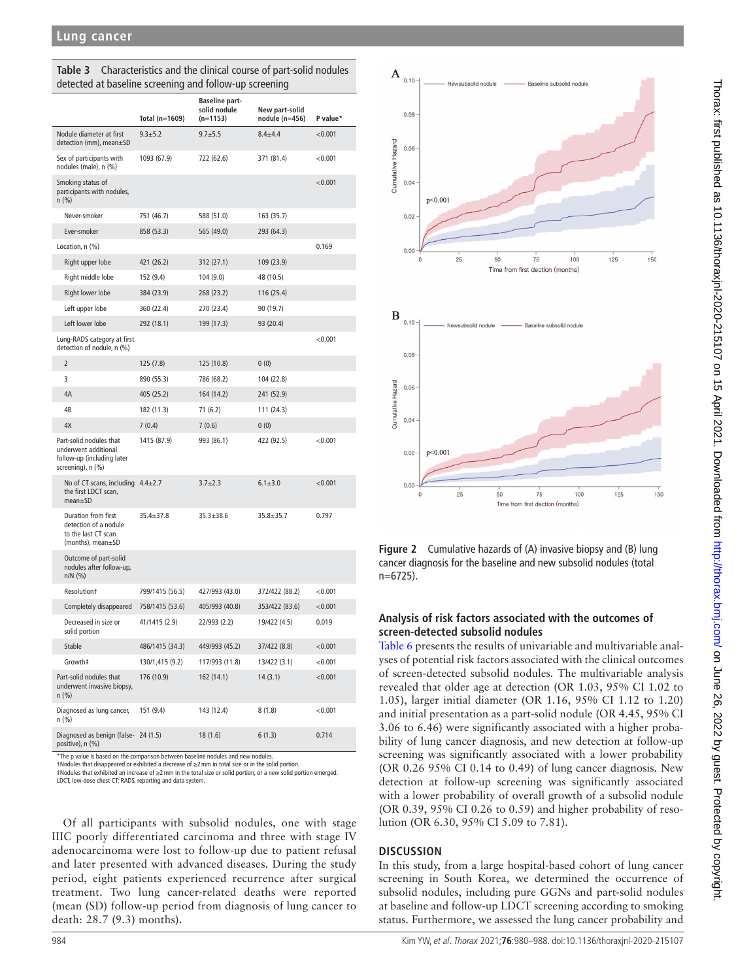|                                                                                                    | Total (n=1609)  | <b>Baseline part-</b><br>solid nodule<br>$(n=1153)$ | New part-solid<br>nodule (n=456) | P value* |
|----------------------------------------------------------------------------------------------------|-----------------|-----------------------------------------------------|----------------------------------|----------|
| Nodule diameter at first<br>detection (mm), mean±SD                                                | $9.3 + 5.2$     | $9.7 + 5.5$                                         | $8.4 + 4.4$                      | < 0.001  |
| Sex of participants with<br>nodules (male), n (%)                                                  | 1093 (67.9)     | 722 (62.6)                                          | 371 (81.4)                       | < 0.001  |
| Smoking status of<br>participants with nodules,<br>$n$ (%)                                         |                 |                                                     |                                  | < 0.001  |
| Never-smoker                                                                                       | 751 (46.7)      | 588 (51.0)                                          | 163 (35.7)                       |          |
| Ever-smoker                                                                                        | 858 (53.3)      | 565 (49.0)                                          | 293 (64.3)                       |          |
| Location, n (%)                                                                                    |                 |                                                     |                                  | 0.169    |
| Right upper lobe                                                                                   | 421 (26.2)      | 312 (27.1)                                          | 109 (23.9)                       |          |
| Right middle lobe                                                                                  | 152 (9.4)       | 104 (9.0)                                           | 48 (10.5)                        |          |
| Right lower lobe                                                                                   | 384 (23.9)      | 268 (23.2)                                          | 116 (25.4)                       |          |
| Left upper lobe                                                                                    | 360 (22.4)      | 270 (23.4)                                          | 90 (19.7)                        |          |
| Left lower lobe                                                                                    | 292 (18.1)      | 199 (17.3)                                          | 93 (20.4)                        |          |
| Lung-RADS category at first<br>detection of nodule, n (%)                                          |                 |                                                     |                                  | < 0.001  |
| $\overline{2}$                                                                                     | 125 (7.8)       | 125 (10.8)                                          | 0(0)                             |          |
| 3                                                                                                  | 890 (55.3)      | 786 (68.2)                                          | 104 (22.8)                       |          |
| 4A                                                                                                 | 405 (25.2)      | 164 (14.2)                                          | 241 (52.9)                       |          |
| 4B                                                                                                 | 182 (11.3)      | 71(6.2)                                             | 111 (24.3)                       |          |
| 4X                                                                                                 | 7(0.4)          | 7(0.6)                                              | 0(0)                             |          |
| Part-solid nodules that<br>underwent additional<br>follow-up (including later<br>screening), n (%) | 1415 (87.9)     | 993 (86.1)                                          | 422 (92.5)                       | < 0.001  |
| No of CT scans, including $4.4 \pm 2.7$<br>the first LDCT scan,<br>mean <sub>±</sub> SD            |                 | $3.7 \pm 2.3$                                       | $6.1 \pm 3.0$                    | < 0.001  |
| Duration from first<br>detection of a nodule<br>to the last CT scan<br>(months), mean $\pm$ SD     | $35.4 \pm 37.8$ | $35.3 \pm 38.6$                                     | $35.8 \pm 35.7$                  | 0.797    |
| Outcome of part-solid<br>nodules after follow-up,<br>$n/N$ (%)                                     |                 |                                                     |                                  |          |
| Resolution <sup>+</sup>                                                                            | 799/1415 (56.5) | 427/993 (43.0)                                      | 372/422 (88.2)                   | < 0.001  |
| Completely disappeared                                                                             | 758/1415 (53.6) | 405/993 (40.8)                                      | 353/422 (83.6)                   | < 0.001  |
| Decreased in size or<br>solid portion                                                              | 41/1415 (2.9)   | 22/993 (2.2)                                        | 19/422 (4.5)                     | 0.019    |
| Stable                                                                                             | 486/1415 (34.3) | 449/993 (45.2)                                      | 37/422 (8.8)                     | < 0.001  |
| Growth‡                                                                                            | 130/1,415 (9.2) | 117/993 (11.8)                                      | 13/422 (3.1)                     | < 0.001  |
| Part-solid nodules that<br>underwent invasive biopsy,<br>$n$ (%)                                   | 176 (10.9)      | 162 (14.1)                                          | 14(3.1)                          | < 0.001  |
| Diagnosed as lung cancer,<br>n (%)                                                                 | 151 (9.4)       | 143 (12.4)                                          | 8(1.8)                           | < 0.001  |
| Diagnosed as benign (false- 24 (1.5)<br>positive), n (%)                                           |                 | 18 (1.6)                                            | 6(1.3)                           | 0.714    |

**Table 3** Characteristics and the clinical course of part-solid nodules detected at baseline screening and follow-up screening

\*The p value is based on the comparison between baseline nodules and new nodules.

†Nodules that disappeared or exhibited a decrease of ≥2mm in total size or in the solid portion.

‡Nodules that exhibited an increase of ≥2mm in the total size or solid portion, or a new solid portion emerged. LDCT, low-dose chest CT; RADS, reporting and data system.

Of all participants with subsolid nodules, one with stage IIIC poorly differentiated carcinoma and three with stage IV adenocarcinoma were lost to follow-up due to patient refusal and later presented with advanced diseases. During the study period, eight patients experienced recurrence after surgical treatment. Two lung cancer-related deaths were reported (mean (SD) follow-up period from diagnosis of lung cancer to death: 28.7 (9.3) months).



<span id="page-4-0"></span>**Figure 2** Cumulative hazards of (A) invasive biopsy and (B) lung cancer diagnosis for the baseline and new subsolid nodules (total n=6725).

## **Analysis of risk factors associated with the outcomes of screen-detected subsolid nodules**

[Table](#page-6-0) 6 presents the results of univariable and multivariable analyses of potential risk factors associated with the clinical outcomes of screen-detected subsolid nodules. The multivariable analysis revealed that older age at detection (OR 1.03, 95% CI 1.02 to 1.05), larger initial diameter (OR 1.16, 95% CI 1.12 to 1.20) and initial presentation as a part-solid nodule (OR 4.45, 95% CI 3.06 to 6.46) were significantly associated with a higher probability of lung cancer diagnosis, and new detection at follow-up screening was significantly associated with a lower probability (OR 0.26 95% CI 0.14 to 0.49) of lung cancer diagnosis. New detection at follow-up screening was significantly associated with a lower probability of overall growth of a subsolid nodule (OR 0.39, 95% CI 0.26 to 0.59) and higher probability of resolution (OR 6.30, 95% CI 5.09 to 7.81).

## **DISCUSSION**

In this study, from a large hospital-based cohort of lung cancer screening in South Korea, we determined the occurrence of subsolid nodules, including pure GGNs and part-solid nodules at baseline and follow-up LDCT screening according to smoking status. Furthermore, we assessed the lung cancer probability and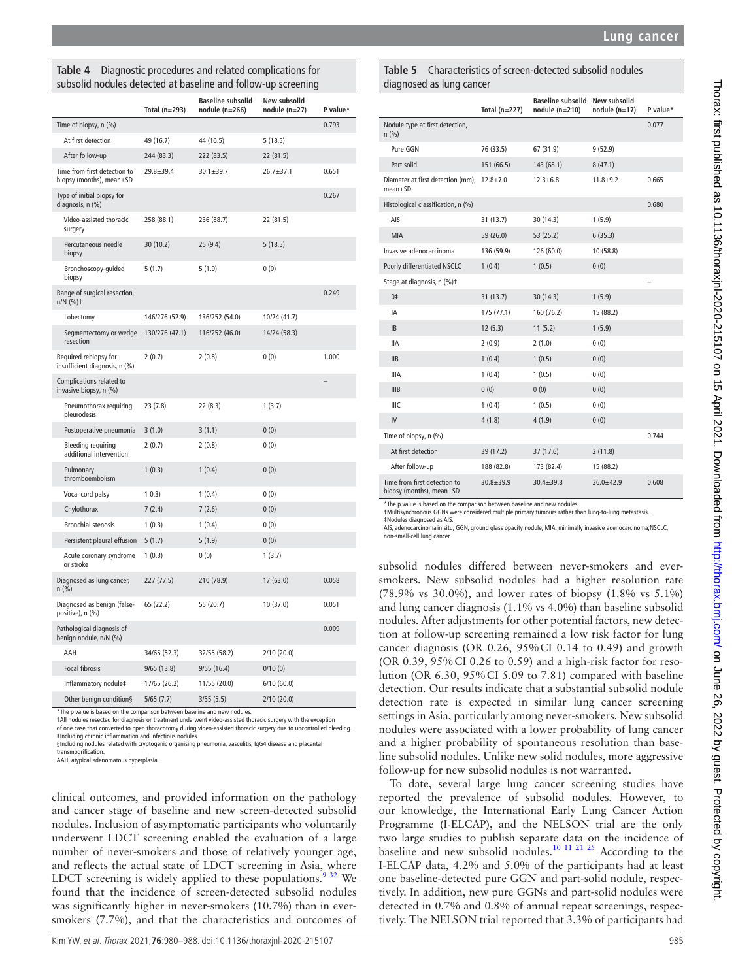## <span id="page-5-0"></span>**Table 4** Diagnostic procedures and related complications for subsolid nodules detected at baseline and follow-up screening

|                                                          | Total $(n=293)$ | <b>Baseline subsolid</b><br>nodule (n=266) | New subsolid<br>nodule $(n=27)$ | P value* |
|----------------------------------------------------------|-----------------|--------------------------------------------|---------------------------------|----------|
| Time of biopsy, n (%)                                    |                 |                                            |                                 | 0.793    |
| At first detection                                       | 49 (16.7)       | 44 (16.5)                                  | 5(18.5)                         |          |
| After follow-up                                          | 244 (83.3)      | 222 (83.5)                                 | 22 (81.5)                       |          |
| Time from first detection to<br>biopsy (months), mean±SD | $29.8 + 39.4$   | $30.1 \pm 39.7$                            | $26.7 + 37.1$                   | 0.651    |
| Type of initial biopsy for<br>diagnosis, n (%)           |                 |                                            |                                 | 0.267    |
| Video-assisted thoracic<br>surgery                       | 258 (88.1)      | 236 (88.7)                                 | 22 (81.5)                       |          |
| Percutaneous needle<br>biopsy                            | 30(10.2)        | 25(9.4)                                    | 5(18.5)                         |          |
| Bronchoscopy-guided<br>biopsy                            | 5(1.7)          | 5(1.9)                                     | 0(0)                            |          |
| Range of surgical resection,<br>n/N (%)t                 |                 |                                            |                                 | 0.249    |
| Lobectomy                                                | 146/276 (52.9)  | 136/252 (54.0)                             | 10/24 (41.7)                    |          |
| Segmentectomy or wedge<br>resection                      | 130/276 (47.1)  | 116/252 (46.0)                             | 14/24 (58.3)                    |          |
| Required rebiopsy for<br>insufficient diagnosis, n (%)   | 2(0.7)          | 2(0.8)                                     | 0(0)                            | 1.000    |
| Complications related to<br>invasive biopsy, n (%)       |                 |                                            |                                 |          |
| Pneumothorax requiring<br>pleurodesis                    | 23(7.8)         | 22(8.3)                                    | 1(3.7)                          |          |
| Postoperative pneumonia                                  | 3(1.0)          | 3(1.1)                                     | 0(0)                            |          |
| Bleeding requiring<br>additional intervention            | 2(0.7)          | 2(0.8)                                     | 0(0)                            |          |
| Pulmonary<br>thromboembolism                             | 1(0.3)          | 1(0.4)                                     | 0(0)                            |          |
| Vocal cord palsy                                         | 10.3            | 1(0.4)                                     | 0(0)                            |          |
| Chylothorax                                              | 7(2.4)          | 7(2.6)                                     | 0(0)                            |          |
| <b>Bronchial stenosis</b>                                | 1(0.3)          | 1(0.4)                                     | 0(0)                            |          |
| Persistent pleural effusion                              | 5(1.7)          | 5(1.9)                                     | 0(0)                            |          |
| Acute coronary syndrome<br>or stroke                     | 1(0.3)          | 0(0)                                       | 1(3.7)                          |          |
| Diagnosed as lung cancer,<br>n (%)                       | 227 (77.5)      | 210 (78.9)                                 | 17 (63.0)                       | 0.058    |
| Diagnosed as benign (false-<br>positive), n (%)          | 65 (22.2)       | 55 (20.7)                                  | 10 (37.0)                       | 0.051    |
| Pathological diagnosis of<br>benign nodule, n/N (%)      |                 |                                            |                                 | 0.009    |
| AAH                                                      | 34/65 (52.3)    | 32/55 (58.2)                               | 2/10(20.0)                      |          |
| <b>Focal fibrosis</b>                                    | 9/65(13.8)      | 9/55(16.4)                                 | 0/10(0)                         |          |
| Inflammatory nodule‡                                     | 17/65 (26.2)    | 11/55 (20.0)                               | 6/10(60.0)                      |          |
| Other benign condition§                                  | 5/65(7.7)       | 3/55(5.5)                                  | 2/10(20.0)                      |          |

\*The p value is based on the comparison between baseline and new nodules.

†All nodules resected for diagnosis or treatment underwent video-assisted thoracic surgery with the exception<br>of one case that converted to open thoracotomy during video-assisted thoracic surgery due to uncontrolled bleedi ‡Including chronic inflammation and infectious nodules.

§Including nodules related with cryptogenic organising pneumonia, vasculitis, IgG4 disease and placental transmogrification.

AAH, atypical adenomatous hyperplasia.

clinical outcomes, and provided information on the pathology and cancer stage of baseline and new screen-detected subsolid nodules. Inclusion of asymptomatic participants who voluntarily underwent LDCT screening enabled the evaluation of a large number of never-smokers and those of relatively younger age, and reflects the actual state of LDCT screening in Asia, where LDCT screening is widely applied to these populations. $9^{32}$  We found that the incidence of screen-detected subsolid nodules was significantly higher in never-smokers (10.7%) than in eversmokers (7.7%), and that the characteristics and outcomes of

#### <span id="page-5-1"></span>**Table 5** Characteristics of screen-detected subsolid nodules diagnosed as lung cancer

|                                                          | Total $(n=227)$ | Baseline subsolid New subsolid<br>nodule $(n=210)$ | nodule $(n=17)$ | P value* |
|----------------------------------------------------------|-----------------|----------------------------------------------------|-----------------|----------|
| Nodule type at first detection,<br>n(% )                 |                 |                                                    |                 | 0.077    |
| Pure GGN                                                 | 76 (33.5)       | 67 (31.9)                                          | 9(52.9)         |          |
| Part solid                                               | 151 (66.5)      | 143 (68.1)                                         | 8(47.1)         |          |
| Diameter at first detection (mm),<br>$mean + SD$         | $12.8 \pm 7.0$  | $12.3 \pm 6.8$                                     | $11.8 + 9.2$    | 0.665    |
| Histological classification, n (%)                       |                 |                                                    |                 | 0.680    |
| AIS                                                      | 31(13.7)        | 30(14.3)                                           | 1(5.9)          |          |
| <b>MIA</b>                                               | 59 (26.0)       | 53 (25.2)                                          | 6(35.3)         |          |
| Invasive adenocarcinoma                                  | 136 (59.9)      | 126 (60.0)                                         | 10 (58.8)       |          |
| Poorly differentiated NSCLC                              | 1(0.4)          | 1(0.5)                                             | 0(0)            |          |
| Stage at diagnosis, n (%)t                               |                 |                                                    |                 |          |
| 0‡                                                       | 31(13.7)        | 30(14.3)                                           | 1(5.9)          |          |
| IA                                                       | 175 (77.1)      | 160 (76.2)                                         | 15 (88.2)       |          |
| <b>IB</b>                                                | 12(5.3)         | 11(5.2)                                            | 1(5.9)          |          |
| <b>IIA</b>                                               | 2(0.9)          | 2(1.0)                                             | 0(0)            |          |
| IIB                                                      | 1(0.4)          | 1(0.5)                                             | 0(0)            |          |
| <b>IIIA</b>                                              | 1(0.4)          | 1(0.5)                                             | 0(0)            |          |
| IIIB                                                     | 0(0)            | 0(0)                                               | 0(0)            |          |
| <b>IIIC</b>                                              | 1(0.4)          | 1(0.5)                                             | 0(0)            |          |
| IV                                                       | 4(1.8)          | 4(1.9)                                             | 0(0)            |          |
| Time of biopsy, n (%)                                    |                 |                                                    |                 | 0.744    |
| At first detection                                       | 39 (17.2)       | 37 (17.6)                                          | 2(11.8)         |          |
| After follow-up                                          | 188 (82.8)      | 173 (82.4)                                         | 15 (88.2)       |          |
| Time from first detection to<br>biopsy (months), mean±SD | $30.8 + 39.9$   | $30.4 \pm 39.8$                                    | $36.0 + 42.9$   | 0.608    |

\*The p value is based on the comparison between baseline and new nodules.

†Multisynchronous GGNs were considered multiple primary tumours rather than lung-to-lung metastasis. ‡Nodules diagnosed as AIS.

AIS, adenocarcinoma in situ; GGN, ground glass opacity nodule; MIA, minimally invasive adenocarcinoma;NSCLC, non-small-cell lung cancer.

subsolid nodules differed between never-smokers and eversmokers. New subsolid nodules had a higher resolution rate (78.9% vs 30.0%), and lower rates of biopsy (1.8% vs 5.1%) and lung cancer diagnosis (1.1% vs 4.0%) than baseline subsolid nodules. After adjustments for other potential factors, new detection at follow-up screening remained a low risk factor for lung cancer diagnosis (OR 0.26, 95%CI 0.14 to 0.49) and growth (OR 0.39, 95%CI 0.26 to 0.59) and a high-risk factor for resolution (OR 6.30, 95%CI 5.09 to 7.81) compared with baseline detection. Our results indicate that a substantial subsolid nodule detection rate is expected in similar lung cancer screening settings in Asia, particularly among never-smokers. New subsolid nodules were associated with a lower probability of lung cancer and a higher probability of spontaneous resolution than baseline subsolid nodules. Unlike new solid nodules, more aggressive follow-up for new subsolid nodules is not warranted.

To date, several large lung cancer screening studies have reported the prevalence of subsolid nodules. However, to our knowledge, the International Early Lung Cancer Action Programme (I-ELCAP), and the NELSON trial are the only two large studies to publish separate data on the incidence of baseline and new subsolid nodules[.10 11 21 25](#page-7-5) According to the I-ELCAP data, 4.2% and 5.0% of the participants had at least one baseline-detected pure GGN and part-solid nodule, respectively. In addition, new pure GGNs and part-solid nodules were detected in 0.7% and 0.8% of annual repeat screenings, respectively. The NELSON trial reported that 3.3% of participants had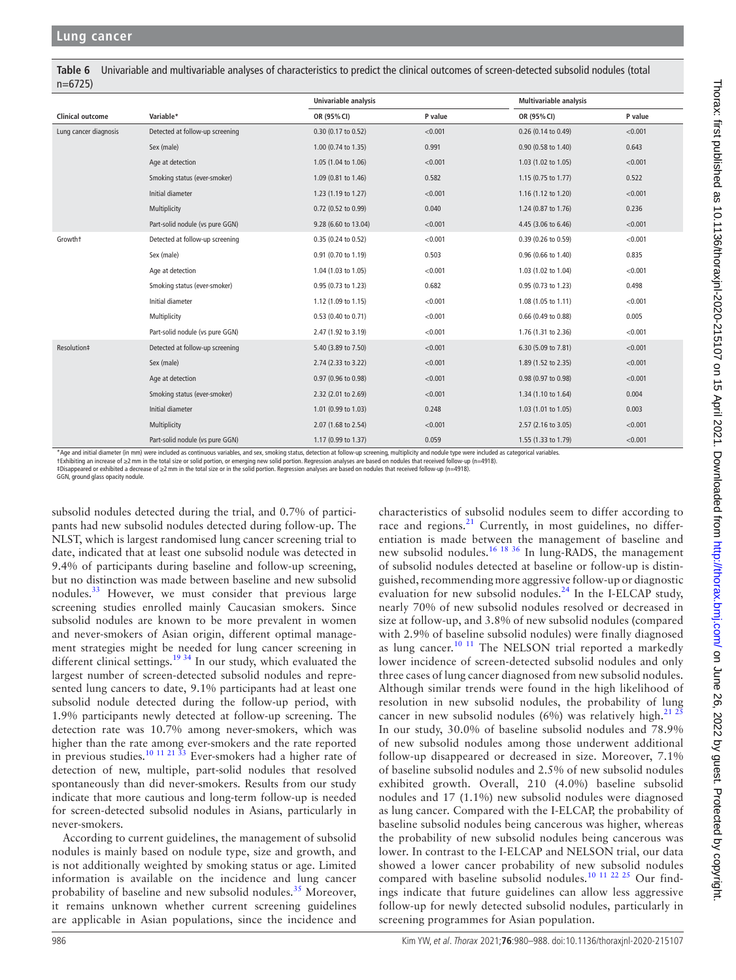<span id="page-6-0"></span>**Table 6** Univariable and multivariable analyses of characteristics to predict the clinical outcomes of screen-detected subsolid nodules (total n=6725)

|                         |                                 | Univariable analysis |         | <b>Multivariable analysis</b> |         |
|-------------------------|---------------------------------|----------------------|---------|-------------------------------|---------|
| <b>Clinical outcome</b> | Variable*                       | OR (95% CI)          | P value | OR (95% CI)                   | P value |
| Lung cancer diagnosis   | Detected at follow-up screening | 0.30 (0.17 to 0.52)  | < 0.001 | 0.26 (0.14 to 0.49)           | < 0.001 |
|                         | Sex (male)                      | 1.00 (0.74 to 1.35)  | 0.991   | 0.90 (0.58 to 1.40)           | 0.643   |
|                         | Age at detection                | 1.05 (1.04 to 1.06)  | < 0.001 | 1.03 (1.02 to 1.05)           | < 0.001 |
|                         | Smoking status (ever-smoker)    | 1.09 (0.81 to 1.46)  | 0.582   | 1.15 (0.75 to 1.77)           | 0.522   |
|                         | Initial diameter                | 1.23 (1.19 to 1.27)  | < 0.001 | 1.16 (1.12 to 1.20)           | < 0.001 |
|                         | Multiplicity                    | 0.72 (0.52 to 0.99)  | 0.040   | 1.24 (0.87 to 1.76)           | 0.236   |
|                         | Part-solid nodule (vs pure GGN) | 9.28 (6.60 to 13.04) | < 0.001 | 4.45 (3.06 to 6.46)           | < 0.001 |
| Growtht                 | Detected at follow-up screening | 0.35 (0.24 to 0.52)  | < 0.001 | 0.39 (0.26 to 0.59)           | < 0.001 |
|                         | Sex (male)                      | 0.91 (0.70 to 1.19)  | 0.503   | 0.96 (0.66 to 1.40)           | 0.835   |
|                         | Age at detection                | 1.04 (1.03 to 1.05)  | < 0.001 | 1.03 (1.02 to 1.04)           | < 0.001 |
|                         | Smoking status (ever-smoker)    | 0.95 (0.73 to 1.23)  | 0.682   | 0.95 (0.73 to 1.23)           | 0.498   |
|                         | Initial diameter                | 1.12 (1.09 to 1.15)  | < 0.001 | 1.08 (1.05 to 1.11)           | < 0.001 |
|                         | Multiplicity                    | 0.53 (0.40 to 0.71)  | < 0.001 | 0.66 (0.49 to 0.88)           | 0.005   |
|                         | Part-solid nodule (vs pure GGN) | 2.47 (1.92 to 3.19)  | < 0.001 | 1.76 (1.31 to 2.36)           | < 0.001 |
| Resolution#             | Detected at follow-up screening | 5.40 (3.89 to 7.50)  | < 0.001 | 6.30 (5.09 to 7.81)           | < 0.001 |
|                         | Sex (male)                      | 2.74 (2.33 to 3.22)  | < 0.001 | 1.89 (1.52 to 2.35)           | < 0.001 |
|                         | Age at detection                | 0.97 (0.96 to 0.98)  | < 0.001 | 0.98 (0.97 to 0.98)           | < 0.001 |
|                         | Smoking status (ever-smoker)    | 2.32 (2.01 to 2.69)  | < 0.001 | 1.34 (1.10 to 1.64)           | 0.004   |
|                         | Initial diameter                | 1.01 (0.99 to 1.03)  | 0.248   | 1.03 (1.01 to 1.05)           | 0.003   |
|                         | Multiplicity                    | 2.07 (1.68 to 2.54)  | < 0.001 | 2.57 (2.16 to 3.05)           | < 0.001 |
|                         | Part-solid nodule (vs pure GGN) | 1.17 (0.99 to 1.37)  | 0.059   | 1.55 (1.33 to 1.79)           | < 0.001 |

\*Age and initial diameter (in mm) were included as continuous variables, and sex, smoking status, detection at follow-up screening, multiplicity and nodule type were included as categorical variables.

†Exhibiting an increase of ≥2mm in the total size or solid portion, or emerging new solid portion. Regression analyses are based on nodules that received follow-up (n=4918).

‡Disappeared or exhibited a decrease of ≥2mm in the total size or in the solid portion. Regression analyses are based on nodules that received follow-up (n=4918).

GGN, ground glass opacity nodule.

subsolid nodules detected during the trial, and 0.7% of participants had new subsolid nodules detected during follow-up. The NLST, which is largest randomised lung cancer screening trial to date, indicated that at least one subsolid nodule was detected in 9.4% of participants during baseline and follow-up screening, but no distinction was made between baseline and new subsolid nodules.[33](#page-8-10) However, we must consider that previous large screening studies enrolled mainly Caucasian smokers. Since subsolid nodules are known to be more prevalent in women and never-smokers of Asian origin, different optimal management strategies might be needed for lung cancer screening in different clinical settings.<sup>[19 34](#page-8-0)</sup> In our study, which evaluated the largest number of screen-detected subsolid nodules and represented lung cancers to date, 9.1% participants had at least one subsolid nodule detected during the follow-up period, with 1.9% participants newly detected at follow-up screening. The detection rate was 10.7% among never-smokers, which was higher than the rate among ever-smokers and the rate reported in previous studies.[10 11 21 33](#page-7-5) Ever-smokers had a higher rate of detection of new, multiple, part-solid nodules that resolved spontaneously than did never-smokers. Results from our study indicate that more cautious and long-term follow-up is needed for screen-detected subsolid nodules in Asians, particularly in never-smokers.

According to current guidelines, the management of subsolid nodules is mainly based on nodule type, size and growth, and is not additionally weighted by smoking status or age. Limited information is available on the incidence and lung cancer probability of baseline and new subsolid nodules.<sup>[35](#page-8-11)</sup> Moreover, it remains unknown whether current screening guidelines are applicable in Asian populations, since the incidence and

race and regions. $^{21}$  $^{21}$  $^{21}$  Currently, in most guidelines, no differentiation is made between the management of baseline and new subsolid nodules.<sup>[16 18 36](#page-7-8)</sup> In lung-RADS, the management of subsolid nodules detected at baseline or follow-up is distinguished, recommending more aggressive follow-up or diagnostic evaluation for new subsolid nodules.[24](#page-8-6) In the I-ELCAP study, nearly 70% of new subsolid nodules resolved or decreased in size at follow-up, and 3.8% of new subsolid nodules (compared with 2.9% of baseline subsolid nodules) were finally diagnosed as lung cancer.<sup>10 11</sup> The NELSON trial reported a markedly lower incidence of screen-detected subsolid nodules and only three cases of lung cancer diagnosed from new subsolid nodules. Although similar trends were found in the high likelihood of resolution in new subsolid nodules, the probability of lung cancer in new subsolid nodules (6%) was relatively high.<sup>[21 25](#page-8-12)</sup> In our study, 30.0% of baseline subsolid nodules and 78.9% of new subsolid nodules among those underwent additional follow-up disappeared or decreased in size. Moreover, 7.1% of baseline subsolid nodules and 2.5% of new subsolid nodules exhibited growth. Overall, 210 (4.0%) baseline subsolid nodules and 17 (1.1%) new subsolid nodules were diagnosed as lung cancer. Compared with the I-ELCAP, the probability of baseline subsolid nodules being cancerous was higher, whereas the probability of new subsolid nodules being cancerous was lower. In contrast to the I-ELCAP and NELSON trial, our data showed a lower cancer probability of new subsolid nodules compared with baseline subsolid nodules.<sup>[10 11 22 25](#page-7-5)</sup> Our findings indicate that future guidelines can allow less aggressive follow-up for newly detected subsolid nodules, particularly in screening programmes for Asian population.

characteristics of subsolid nodules seem to differ according to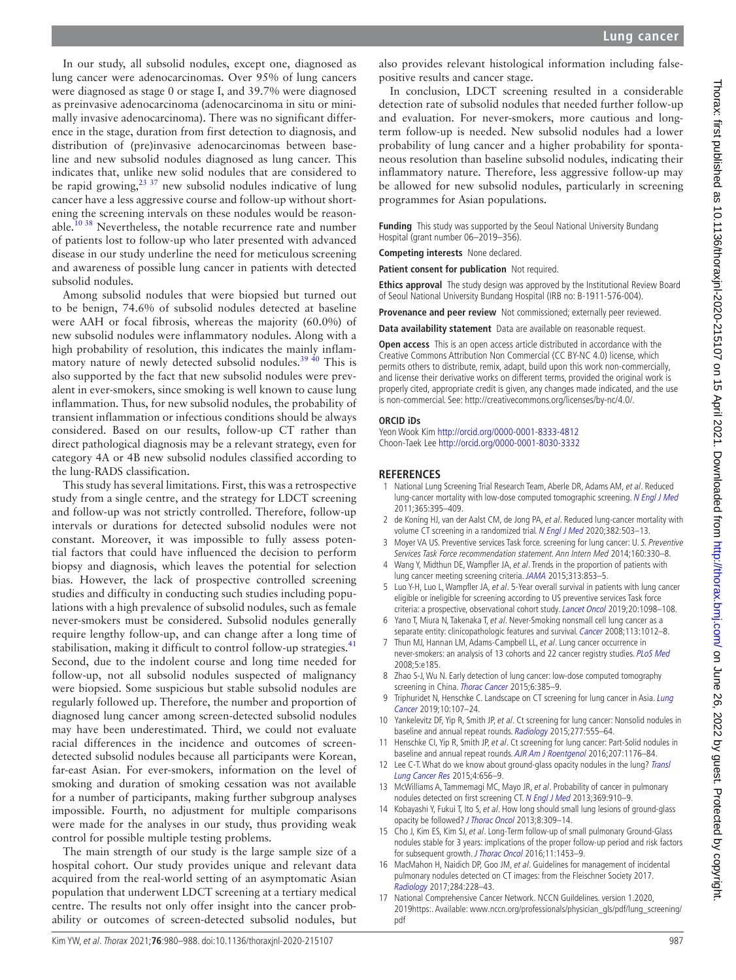In our study, all subsolid nodules, except one, diagnosed as lung cancer were adenocarcinomas. Over 95% of lung cancers were diagnosed as stage 0 or stage I, and 39.7% were diagnosed as preinvasive adenocarcinoma (adenocarcinoma in situ or minimally invasive adenocarcinoma). There was no significant difference in the stage, duration from first detection to diagnosis, and distribution of (pre)invasive adenocarcinomas between baseline and new subsolid nodules diagnosed as lung cancer. This indicates that, unlike new solid nodules that are considered to be rapid growing, $^{23}$  37 new subsolid nodules indicative of lung cancer have a less aggressive course and follow-up without shortening the screening intervals on these nodules would be reason-able.<sup>[10 38](#page-7-5)</sup> Nevertheless, the notable recurrence rate and number of patients lost to follow-up who later presented with advanced disease in our study underline the need for meticulous screening and awareness of possible lung cancer in patients with detected subsolid nodules.

Among subsolid nodules that were biopsied but turned out to be benign, 74.6% of subsolid nodules detected at baseline were AAH or focal fibrosis, whereas the majority (60.0%) of new subsolid nodules were inflammatory nodules. Along with a high probability of resolution, this indicates the mainly inflammatory nature of newly detected subsolid nodules.<sup>39 40</sup> This is also supported by the fact that new subsolid nodules were prevalent in ever-smokers, since smoking is well known to cause lung inflammation. Thus, for new subsolid nodules, the probability of transient inflammation or infectious conditions should be always considered. Based on our results, follow-up CT rather than direct pathological diagnosis may be a relevant strategy, even for category 4A or 4B new subsolid nodules classified according to the lung-RADS classification.

This study has several limitations. First, this was a retrospective study from a single centre, and the strategy for LDCT screening and follow-up was not strictly controlled. Therefore, follow-up intervals or durations for detected subsolid nodules were not constant. Moreover, it was impossible to fully assess potential factors that could have influenced the decision to perform biopsy and diagnosis, which leaves the potential for selection bias. However, the lack of prospective controlled screening studies and difficulty in conducting such studies including populations with a high prevalence of subsolid nodules, such as female never-smokers must be considered. Subsolid nodules generally require lengthy follow-up, and can change after a long time of stabilisation, making it difficult to control follow-up strategies.<sup>[41](#page-8-14)</sup> Second, due to the indolent course and long time needed for follow-up, not all subsolid nodules suspected of malignancy were biopsied. Some suspicious but stable subsolid nodules are regularly followed up. Therefore, the number and proportion of diagnosed lung cancer among screen-detected subsolid nodules may have been underestimated. Third, we could not evaluate racial differences in the incidence and outcomes of screendetected subsolid nodules because all participants were Korean, far-east Asian. For ever-smokers, information on the level of smoking and duration of smoking cessation was not available for a number of participants, making further subgroup analyses impossible. Fourth, no adjustment for multiple comparisons were made for the analyses in our study, thus providing weak control for possible multiple testing problems.

The main strength of our study is the large sample size of a hospital cohort. Our study provides unique and relevant data acquired from the real-world setting of an asymptomatic Asian population that underwent LDCT screening at a tertiary medical centre. The results not only offer insight into the cancer probability or outcomes of screen-detected subsolid nodules, but

In conclusion, LDCT screening resulted in a considerable detection rate of subsolid nodules that needed further follow-up and evaluation. For never-smokers, more cautious and longterm follow-up is needed. New subsolid nodules had a lower probability of lung cancer and a higher probability for spontaneous resolution than baseline subsolid nodules, indicating their inflammatory nature. Therefore, less aggressive follow-up may be allowed for new subsolid nodules, particularly in screening programmes for Asian populations.

**Funding** This study was supported by the Seoul National University Bundang Hospital (grant number 06–2019–356).

**Competing interests** None declared.

**Patient consent for publication** Not required.

**Ethics approval** The study design was approved by the Institutional Review Board of Seoul National University Bundang Hospital (IRB no: B-1911-576-004).

**Provenance and peer review** Not commissioned; externally peer reviewed.

**Data availability statement** Data are available on reasonable request.

**Open access** This is an open access article distributed in accordance with the Creative Commons Attribution Non Commercial (CC BY-NC 4.0) license, which permits others to distribute, remix, adapt, build upon this work non-commercially, and license their derivative works on different terms, provided the original work is properly cited, appropriate credit is given, any changes made indicated, and the use is non-commercial. See: [http://creativecommons.org/licenses/by-nc/4.0/.](http://creativecommons.org/licenses/by-nc/4.0/)

#### **ORCID iDs**

Yeon Wook Kim<http://orcid.org/0000-0001-8333-4812> Choon-Taek Lee<http://orcid.org/0000-0001-8030-3332>

#### **REFERENCES**

- <span id="page-7-0"></span>1 National Lung Screening Trial Research Team, Aberle DR, Adams AM, et al. Reduced lung-cancer mortality with low-dose computed tomographic screening. [N Engl J Med](http://dx.doi.org/10.1056/NEJMoa1102873) 2011;365:395–409.
- 2 de Koning HJ, van der Aalst CM, de Jong PA, et al. Reduced lung-cancer mortality with volume CT screening in a randomized trial. [N Engl J Med](http://dx.doi.org/10.1056/NEJMoa1911793) 2020;382:503-13.
- <span id="page-7-1"></span>Moyer VA US. Preventive services Task force. screening for lung cancer: U. S. Preventive Services Task Force recommendation statement. Ann Intern Med 2014;160:330–8.
- <span id="page-7-2"></span>4 Wang Y, Midthun DE, Wampfler JA, et al. Trends in the proportion of patients with lung cancer meeting screening criteria. [JAMA](http://dx.doi.org/10.1001/jama.2015.413) 2015;313:853–5.
- 5 Luo Y-H, Luo L, Wampfler JA, et al. 5-Year overall survival in patients with lung cancer eligible or ineligible for screening according to US preventive services Task force criteria: a prospective, observational cohort study. [Lancet Oncol](http://dx.doi.org/10.1016/S1470-2045(19)30329-8) 2019;20:1098-108.
- <span id="page-7-3"></span>Yano T, Miura N, Takenaka T, et al. Never-Smoking nonsmall cell lung cancer as a separate entity: clinicopathologic features and survival. [Cancer](http://dx.doi.org/10.1002/cncr.23679) 2008;113:1012-8.
- 7 Thun MJ, Hannan LM, Adams-Campbell LL, et al. Lung cancer occurrence in never-smokers: an analysis of 13 cohorts and 22 cancer registry studies. [PLoS Med](http://dx.doi.org/10.1371/journal.pmed.0050185) 2008;5:e185.
- <span id="page-7-4"></span>8 Zhao S-J, Wu N. Early detection of lung cancer: low-dose computed tomography screening in China. *[Thorac Cancer](http://dx.doi.org/10.1111/1759-7714.12253)* 2015:6:385-9.
- <span id="page-7-10"></span>Triphuridet N, Henschke C. Landscape on CT screening for lung cancer in Asia. Lung [Cancer](http://dx.doi.org/10.2147/LCTT.S192643) 2019;10:107–24.
- <span id="page-7-5"></span>10 Yankelevitz DF, Yip R, Smith JP, et al. Ct screening for lung cancer: Nonsolid nodules in baseline and annual repeat rounds. [Radiology](http://dx.doi.org/10.1148/radiol.2015142554) 2015;277:555–64.
- 11 Henschke CI, Yip R, Smith JP, et al. Ct screening for lung cancer: Part-Solid nodules in baseline and annual repeat rounds. [AJR Am J Roentgenol](http://dx.doi.org/10.2214/AJR.16.16043) 2016;207:1176–84.
- <span id="page-7-6"></span>12 Lee C-T. What do we know about ground-glass opacity nodules in the lung? Transl [Lung Cancer Res](http://dx.doi.org/10.3978/j.issn.2218-6751.2015.04.05) 2015;4:656–9.
- 13 McWilliams A, Tammemagi MC, Mayo JR, et al. Probability of cancer in pulmonary nodules detected on first screening CT. [N Engl J Med](http://dx.doi.org/10.1056/NEJMoa1214726) 2013;369:910-9.
- <span id="page-7-7"></span>14 Kobayashi Y, Fukui T, Ito S, et al. How long should small lung lesions of ground-glass opacity be followed? [J Thorac Oncol](http://dx.doi.org/10.1097/JTO.0b013e31827e2435) 2013;8:309-14.
- <span id="page-7-9"></span>15 Cho J, Kim ES, Kim SJ, et al. Long-Term follow-up of small pulmonary Ground-Glass nodules stable for 3 years: implications of the proper follow-up period and risk factors for subsequent growth. [J Thorac Oncol](http://dx.doi.org/10.1016/j.jtho.2016.05.026) 2016;11:1453-9.
- <span id="page-7-8"></span>16 MacMahon H, Naidich DP, Goo JM, et al. Guidelines for management of incidental pulmonary nodules detected on CT images: from the Fleischner Society 2017. [Radiology](http://dx.doi.org/10.1148/radiol.2017161659) 2017;284:228–43.
- 17 National Comprehensive Cancer Network. NCCN Guildelines. version 1.2020, 2019https:. Available: [www.nccn.org/professionals/physician\\_gls/pdf/lung\\_screening/](www.nccn.org/professionals/physician_gls/pdf/lung_screening/pdf) [pdf](www.nccn.org/professionals/physician_gls/pdf/lung_screening/pdf)